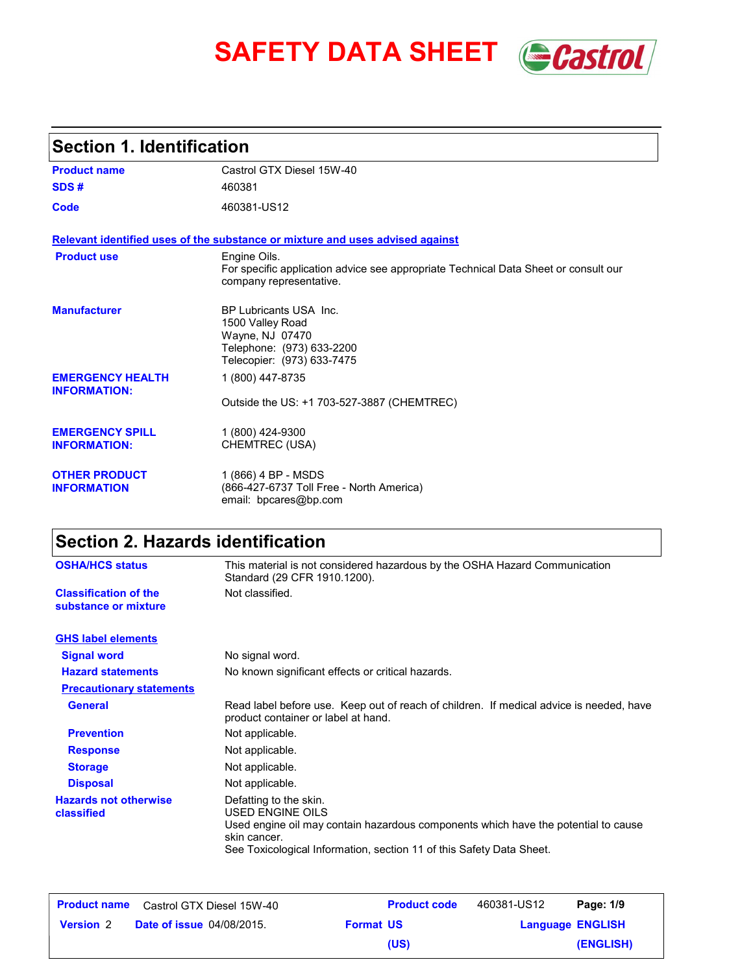# **SAFETY DATA SHEET** *Castrol*



## **Section 1. Identification**

| <b>Product name</b>                            | Castrol GTX Diesel 15W-40                                                                                                      |
|------------------------------------------------|--------------------------------------------------------------------------------------------------------------------------------|
| SDS#                                           | 460381                                                                                                                         |
| Code                                           | 460381-US12                                                                                                                    |
|                                                | Relevant identified uses of the substance or mixture and uses advised against                                                  |
| <b>Product use</b>                             | Engine Oils.<br>For specific application advice see appropriate Technical Data Sheet or consult our<br>company representative. |
| <b>Manufacturer</b>                            | BP Lubricants USA Inc.<br>1500 Valley Road<br>Wayne, NJ 07470<br>Telephone: (973) 633-2200<br>Telecopier: (973) 633-7475       |
| <b>EMERGENCY HEALTH</b><br><b>INFORMATION:</b> | 1 (800) 447-8735<br>Outside the US: +1 703-527-3887 (CHEMTREC)                                                                 |
| <b>EMERGENCY SPILL</b><br><b>INFORMATION:</b>  | 1 (800) 424-9300<br>CHEMTREC (USA)                                                                                             |
| <b>OTHER PRODUCT</b><br><b>INFORMATION</b>     | 1 (866) 4 BP - MSDS<br>(866-427-6737 Toll Free - North America)<br>email: bpcares@bp.com                                       |

## **Section 2. Hazards identification**

| <b>OSHA/HCS status</b>                               | This material is not considered hazardous by the OSHA Hazard Communication<br>Standard (29 CFR 1910.1200).                                                                                                                      |  |
|------------------------------------------------------|---------------------------------------------------------------------------------------------------------------------------------------------------------------------------------------------------------------------------------|--|
| <b>Classification of the</b><br>substance or mixture | Not classified.                                                                                                                                                                                                                 |  |
| <b>GHS label elements</b>                            |                                                                                                                                                                                                                                 |  |
| <b>Signal word</b>                                   | No signal word.                                                                                                                                                                                                                 |  |
| <b>Hazard statements</b>                             | No known significant effects or critical hazards.                                                                                                                                                                               |  |
| <b>Precautionary statements</b>                      |                                                                                                                                                                                                                                 |  |
| <b>General</b>                                       | Read label before use. Keep out of reach of children. If medical advice is needed, have<br>product container or label at hand.                                                                                                  |  |
| <b>Prevention</b>                                    | Not applicable.                                                                                                                                                                                                                 |  |
| <b>Response</b>                                      | Not applicable.                                                                                                                                                                                                                 |  |
| <b>Storage</b>                                       | Not applicable.                                                                                                                                                                                                                 |  |
| <b>Disposal</b>                                      | Not applicable.                                                                                                                                                                                                                 |  |
| <b>Hazards not otherwise</b><br>classified           | Defatting to the skin.<br><b>USED ENGINE OILS</b><br>Used engine oil may contain hazardous components which have the potential to cause<br>skin cancer.<br>See Toxicological Information, section 11 of this Safety Data Sheet. |  |

|                  | <b>Product name</b> Castrol GTX Diesel 15W-40 |                  | <b>Product code</b> | 460381-US12 | Page: 1/9               |
|------------------|-----------------------------------------------|------------------|---------------------|-------------|-------------------------|
| <b>Version</b> 2 | <b>Date of issue 04/08/2015.</b>              | <b>Format US</b> |                     |             | <b>Language ENGLISH</b> |
|                  |                                               | (US)             |                     |             | (ENGLISH)               |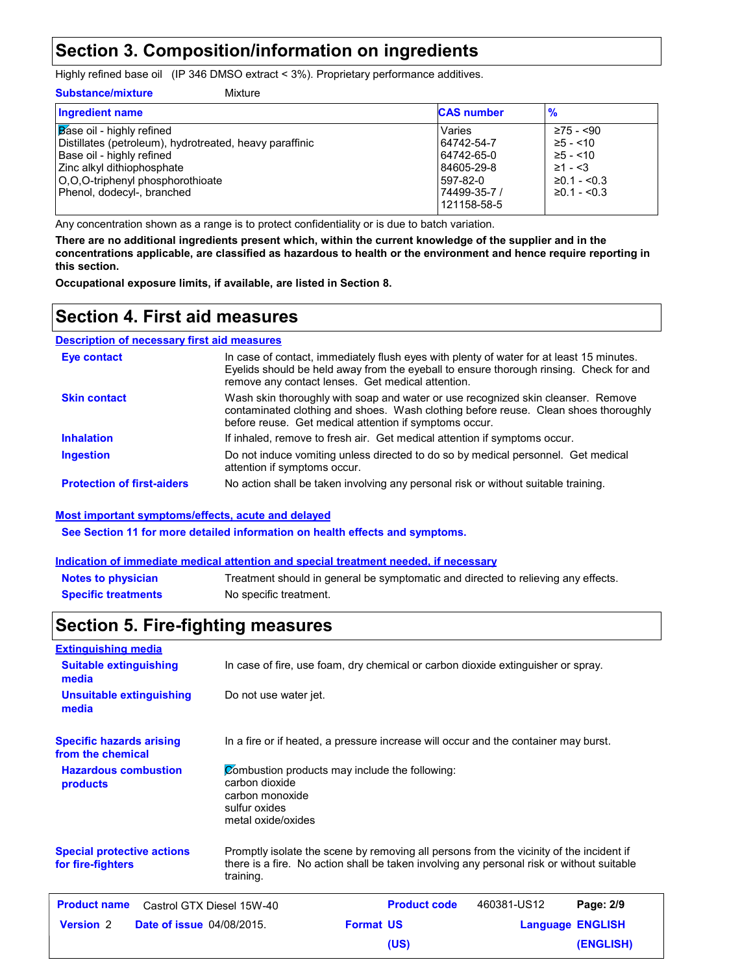## **Section 3. Composition/information on ingredients**

Highly refined base oil (IP 346 DMSO extract < 3%). Proprietary performance additives.

#### **Substance/mixture**

| Mixture |  |
|---------|--|

| <b>Ingredient name</b>                                  | <b>CAS number</b> | $\frac{9}{6}$         |
|---------------------------------------------------------|-------------------|-----------------------|
| Base oil - highly refined                               | Varies            | $≥75 - <90$           |
| Distillates (petroleum), hydrotreated, heavy paraffinic | 64742-54-7        | $≥5 - < 10$           |
| Base oil - highly refined                               | 64742-65-0        | $≥5 - < 10$           |
| <b>Zinc alkyl dithiophosphate</b>                       | 84605-29-8        | $≥1 - 53$             |
| O.O.O-triphenyl phosphorothioate                        | 597-82-0          | $\geq 0.1 - \leq 0.3$ |
| Phenol, dodecyl-, branched                              | 74499-35-7 /      | $\geq 0.1 - \leq 0.3$ |
|                                                         | 121158-58-5       |                       |

Any concentration shown as a range is to protect confidentiality or is due to batch variation.

**There are no additional ingredients present which, within the current knowledge of the supplier and in the concentrations applicable, are classified as hazardous to health or the environment and hence require reporting in this section.**

**Occupational exposure limits, if available, are listed in Section 8.**

### **Section 4. First aid measures**

#### Do not induce vomiting unless directed to do so by medical personnel. Get medical attention if symptoms occur. In case of contact, immediately flush eyes with plenty of water for at least 15 minutes. Eyelids should be held away from the eyeball to ensure thorough rinsing. Check for and remove any contact lenses. Get medical attention. If inhaled, remove to fresh air. Get medical attention if symptoms occur. **Eye contact Inhalation Ingestion Description of necessary first aid measures Skin contact** Wash skin thoroughly with soap and water or use recognized skin cleanser. Remove contaminated clothing and shoes. Wash clothing before reuse. Clean shoes thoroughly before reuse. Get medical attention if symptoms occur.

**Protection of first-aiders** No action shall be taken involving any personal risk or without suitable training.

#### **Most important symptoms/effects, acute and delayed**

**See Section 11 for more detailed information on health effects and symptoms.**

#### **Indication of immediate medical attention and special treatment needed, if necessary**

| <b>Notes to physician</b>  | Treatment should in general be symptomatic and directed to relieving any effects. |
|----------------------------|-----------------------------------------------------------------------------------|
| <b>Specific treatments</b> | No specific treatment.                                                            |

## **Section 5. Fire-fighting measures**

| <b>Extinguishing media</b>                             |                                                                                                                            |                                                                                                                                                                                      |             |                         |
|--------------------------------------------------------|----------------------------------------------------------------------------------------------------------------------------|--------------------------------------------------------------------------------------------------------------------------------------------------------------------------------------|-------------|-------------------------|
| <b>Suitable extinguishing</b><br>media                 |                                                                                                                            | In case of fire, use foam, dry chemical or carbon dioxide extinguisher or spray.                                                                                                     |             |                         |
| Unsuitable extinguishing<br>media                      | Do not use water jet.                                                                                                      |                                                                                                                                                                                      |             |                         |
| <b>Specific hazards arising</b><br>from the chemical   |                                                                                                                            | In a fire or if heated, a pressure increase will occur and the container may burst.                                                                                                  |             |                         |
| <b>Hazardous combustion</b><br>products                | Combustion products may include the following:<br>carbon dioxide<br>carbon monoxide<br>sulfur oxides<br>metal oxide/oxides |                                                                                                                                                                                      |             |                         |
| <b>Special protective actions</b><br>for fire-fighters | training.                                                                                                                  | Promptly isolate the scene by removing all persons from the vicinity of the incident if<br>there is a fire. No action shall be taken involving any personal risk or without suitable |             |                         |
| <b>Product name</b><br>Castrol GTX Diesel 15W-40       |                                                                                                                            | <b>Product code</b>                                                                                                                                                                  | 460381-US12 | Page: 2/9               |
| <b>Version 2</b><br><b>Date of issue 04/08/2015.</b>   |                                                                                                                            | <b>Format US</b>                                                                                                                                                                     |             | <b>Language ENGLISH</b> |
|                                                        |                                                                                                                            | (US)                                                                                                                                                                                 |             | (ENGLISH)               |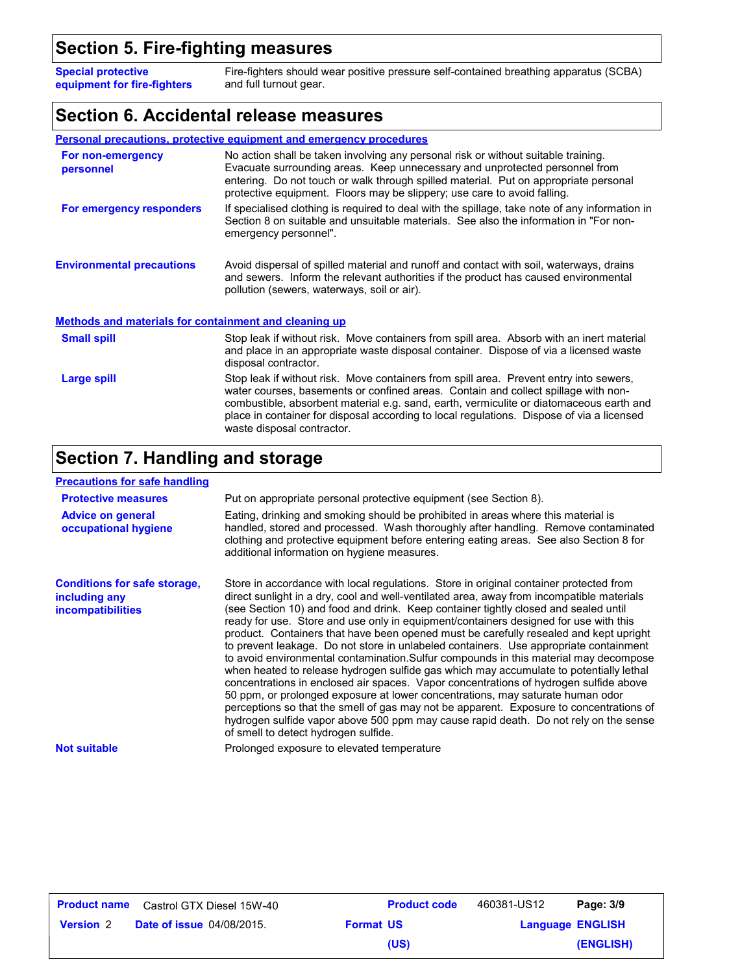## **Section 5. Fire-fighting measures**

Fire-fighters should wear positive pressure self-contained breathing apparatus (SCBA) and full turnout gear. **Special protective equipment for fire-fighters**

#### **Section 6. Accidental release measures**

|                                                              | <b>Personal precautions, protective equipment and emergency procedures</b>                                                                                                                                                                                                                                                                                                                         |  |
|--------------------------------------------------------------|----------------------------------------------------------------------------------------------------------------------------------------------------------------------------------------------------------------------------------------------------------------------------------------------------------------------------------------------------------------------------------------------------|--|
| For non-emergency<br>personnel                               | No action shall be taken involving any personal risk or without suitable training.<br>Evacuate surrounding areas. Keep unnecessary and unprotected personnel from<br>entering. Do not touch or walk through spilled material. Put on appropriate personal<br>protective equipment. Floors may be slippery; use care to avoid falling.                                                              |  |
| For emergency responders                                     | If specialised clothing is required to deal with the spillage, take note of any information in<br>Section 8 on suitable and unsuitable materials. See also the information in "For non-<br>emergency personnel".                                                                                                                                                                                   |  |
| <b>Environmental precautions</b>                             | Avoid dispersal of spilled material and runoff and contact with soil, waterways, drains<br>and sewers. Inform the relevant authorities if the product has caused environmental<br>pollution (sewers, waterways, soil or air).                                                                                                                                                                      |  |
| <b>Methods and materials for containment and cleaning up</b> |                                                                                                                                                                                                                                                                                                                                                                                                    |  |
| <b>Small spill</b>                                           | Stop leak if without risk. Move containers from spill area. Absorb with an inert material<br>and place in an appropriate waste disposal container. Dispose of via a licensed waste<br>disposal contractor.                                                                                                                                                                                         |  |
| Large spill                                                  | Stop leak if without risk. Move containers from spill area. Prevent entry into sewers,<br>water courses, basements or confined areas. Contain and collect spillage with non-<br>combustible, absorbent material e.g. sand, earth, vermiculite or diatomaceous earth and<br>place in container for disposal according to local regulations. Dispose of via a licensed<br>waste disposal contractor. |  |

## **Section 7. Handling and storage**

| <b>Precautions for safe handling</b>                                             |                                                                                                                                                                                                                                                                                                                                                                                                                                                                                                                                                                                                                                                                                                                                                                                                                                                                                                                                                                                                                                                                                                                                               |
|----------------------------------------------------------------------------------|-----------------------------------------------------------------------------------------------------------------------------------------------------------------------------------------------------------------------------------------------------------------------------------------------------------------------------------------------------------------------------------------------------------------------------------------------------------------------------------------------------------------------------------------------------------------------------------------------------------------------------------------------------------------------------------------------------------------------------------------------------------------------------------------------------------------------------------------------------------------------------------------------------------------------------------------------------------------------------------------------------------------------------------------------------------------------------------------------------------------------------------------------|
| <b>Protective measures</b>                                                       | Put on appropriate personal protective equipment (see Section 8).                                                                                                                                                                                                                                                                                                                                                                                                                                                                                                                                                                                                                                                                                                                                                                                                                                                                                                                                                                                                                                                                             |
| <b>Advice on general</b><br>occupational hygiene                                 | Eating, drinking and smoking should be prohibited in areas where this material is<br>handled, stored and processed. Wash thoroughly after handling. Remove contaminated<br>clothing and protective equipment before entering eating areas. See also Section 8 for<br>additional information on hygiene measures.                                                                                                                                                                                                                                                                                                                                                                                                                                                                                                                                                                                                                                                                                                                                                                                                                              |
| <b>Conditions for safe storage,</b><br>including any<br><i>incompatibilities</i> | Store in accordance with local regulations. Store in original container protected from<br>direct sunlight in a dry, cool and well-ventilated area, away from incompatible materials<br>(see Section 10) and food and drink. Keep container tightly closed and sealed until<br>ready for use. Store and use only in equipment/containers designed for use with this<br>product. Containers that have been opened must be carefully resealed and kept upright<br>to prevent leakage. Do not store in unlabeled containers. Use appropriate containment<br>to avoid environmental contamination. Sulfur compounds in this material may decompose<br>when heated to release hydrogen sulfide gas which may accumulate to potentially lethal<br>concentrations in enclosed air spaces. Vapor concentrations of hydrogen sulfide above<br>50 ppm, or prolonged exposure at lower concentrations, may saturate human odor<br>perceptions so that the smell of gas may not be apparent. Exposure to concentrations of<br>hydrogen sulfide vapor above 500 ppm may cause rapid death. Do not rely on the sense<br>of smell to detect hydrogen sulfide. |
| <b>Not suitable</b>                                                              | Prolonged exposure to elevated temperature                                                                                                                                                                                                                                                                                                                                                                                                                                                                                                                                                                                                                                                                                                                                                                                                                                                                                                                                                                                                                                                                                                    |

| Product name     | Castrol GTX Diesel 15W-40        |                  | <b>Product code</b> | 460381-US12             | Page: 3/9 |
|------------------|----------------------------------|------------------|---------------------|-------------------------|-----------|
| <b>Version 2</b> | <b>Date of issue 04/08/2015.</b> | <b>Format US</b> |                     | <b>Language ENGLISH</b> |           |
|                  |                                  |                  | (US)                |                         | (ENGLISH) |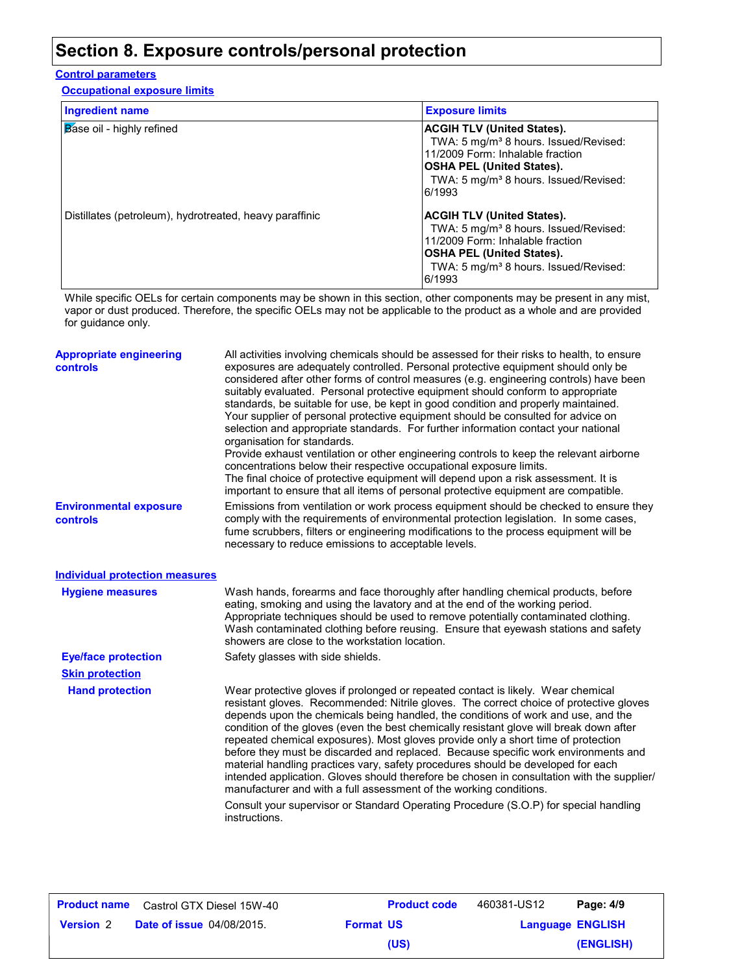## **Section 8. Exposure controls/personal protection**

#### **Control parameters**

**Occupational exposure limits**

| <b>Ingredient name</b>                                  | <b>Exposure limits</b>                                                                                                                                                                                                        |
|---------------------------------------------------------|-------------------------------------------------------------------------------------------------------------------------------------------------------------------------------------------------------------------------------|
| <b>Base oil - highly refined</b>                        | <b>ACGIH TLV (United States).</b><br>TWA: 5 mg/m <sup>3</sup> 8 hours. Issued/Revised:<br>11/2009 Form: Inhalable fraction<br> OSHA PEL (United States).<br>TWA: 5 mg/m <sup>3</sup> 8 hours. Issued/Revised:<br>6/1993       |
| Distillates (petroleum), hydrotreated, heavy paraffinic | <b>ACGIH TLV (United States).</b><br>TWA: 5 mg/m <sup>3</sup> 8 hours. Issued/Revised:<br>11/2009 Form: Inhalable fraction<br><b>OSHA PEL (United States).</b><br>TWA: 5 mg/m <sup>3</sup> 8 hours. Issued/Revised:<br>6/1993 |

While specific OELs for certain components may be shown in this section, other components may be present in any mist, vapor or dust produced. Therefore, the specific OELs may not be applicable to the product as a whole and are provided for guidance only.

| <b>Appropriate engineering</b><br><b>controls</b> | All activities involving chemicals should be assessed for their risks to health, to ensure<br>exposures are adequately controlled. Personal protective equipment should only be<br>considered after other forms of control measures (e.g. engineering controls) have been<br>suitably evaluated. Personal protective equipment should conform to appropriate<br>standards, be suitable for use, be kept in good condition and properly maintained.<br>Your supplier of personal protective equipment should be consulted for advice on<br>selection and appropriate standards. For further information contact your national<br>organisation for standards.<br>Provide exhaust ventilation or other engineering controls to keep the relevant airborne<br>concentrations below their respective occupational exposure limits.<br>The final choice of protective equipment will depend upon a risk assessment. It is<br>important to ensure that all items of personal protective equipment are compatible. |
|---------------------------------------------------|------------------------------------------------------------------------------------------------------------------------------------------------------------------------------------------------------------------------------------------------------------------------------------------------------------------------------------------------------------------------------------------------------------------------------------------------------------------------------------------------------------------------------------------------------------------------------------------------------------------------------------------------------------------------------------------------------------------------------------------------------------------------------------------------------------------------------------------------------------------------------------------------------------------------------------------------------------------------------------------------------------|
| <b>Environmental exposure</b><br>controls         | Emissions from ventilation or work process equipment should be checked to ensure they<br>comply with the requirements of environmental protection legislation. In some cases,<br>fume scrubbers, filters or engineering modifications to the process equipment will be<br>necessary to reduce emissions to acceptable levels.                                                                                                                                                                                                                                                                                                                                                                                                                                                                                                                                                                                                                                                                              |
| <b>Individual protection measures</b>             |                                                                                                                                                                                                                                                                                                                                                                                                                                                                                                                                                                                                                                                                                                                                                                                                                                                                                                                                                                                                            |
| <b>Hygiene measures</b>                           | Wash hands, forearms and face thoroughly after handling chemical products, before<br>eating, smoking and using the lavatory and at the end of the working period.<br>Appropriate techniques should be used to remove potentially contaminated clothing.<br>Wash contaminated clothing before reusing. Ensure that eyewash stations and safety<br>showers are close to the workstation location.                                                                                                                                                                                                                                                                                                                                                                                                                                                                                                                                                                                                            |
| <b>Eye/face protection</b>                        | Safety glasses with side shields.                                                                                                                                                                                                                                                                                                                                                                                                                                                                                                                                                                                                                                                                                                                                                                                                                                                                                                                                                                          |
| <b>Skin protection</b>                            |                                                                                                                                                                                                                                                                                                                                                                                                                                                                                                                                                                                                                                                                                                                                                                                                                                                                                                                                                                                                            |
| <b>Hand protection</b>                            | Wear protective gloves if prolonged or repeated contact is likely. Wear chemical<br>resistant gloves. Recommended: Nitrile gloves. The correct choice of protective gloves<br>depends upon the chemicals being handled, the conditions of work and use, and the<br>condition of the gloves (even the best chemically resistant glove will break down after<br>repeated chemical exposures). Most gloves provide only a short time of protection<br>before they must be discarded and replaced. Because specific work environments and<br>material handling practices vary, safety procedures should be developed for each<br>intended application. Gloves should therefore be chosen in consultation with the supplier/<br>manufacturer and with a full assessment of the working conditions.                                                                                                                                                                                                              |
|                                                   | Consult your supervisor or Standard Operating Procedure (S.O.P) for special handling<br>instructions.                                                                                                                                                                                                                                                                                                                                                                                                                                                                                                                                                                                                                                                                                                                                                                                                                                                                                                      |

| <b>Product name</b> | Castrol GTX Diesel 15W-40        |                  | <b>Product code</b> | 460381-US12             | Page: 4/9 |
|---------------------|----------------------------------|------------------|---------------------|-------------------------|-----------|
| <b>Version</b> 2    | <b>Date of issue 04/08/2015.</b> | <b>Format US</b> |                     | <b>Language ENGLISH</b> |           |
|                     |                                  |                  | (US)                |                         | (ENGLISH) |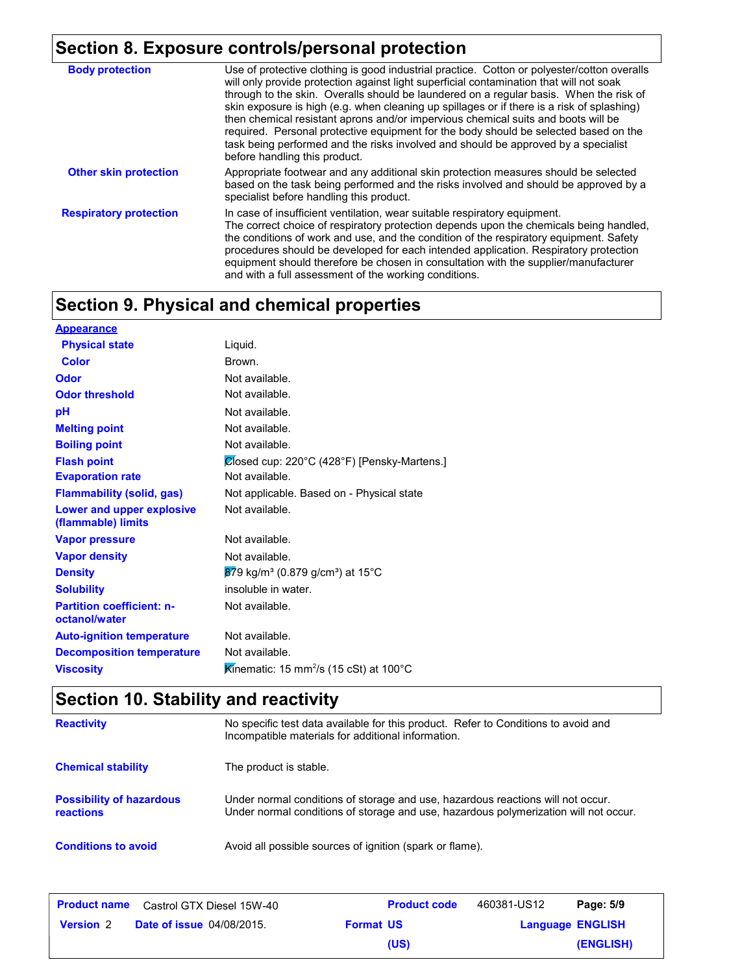## **Section 8. Exposure controls/personal protection**

| <b>Body protection</b>        | Use of protective clothing is good industrial practice. Cotton or polyester/cotton overalls<br>will only provide protection against light superficial contamination that will not soak<br>through to the skin. Overalls should be laundered on a regular basis. When the risk of<br>skin exposure is high (e.g. when cleaning up spillages or if there is a risk of splashing)<br>then chemical resistant aprons and/or impervious chemical suits and boots will be<br>required. Personal protective equipment for the body should be selected based on the<br>task being performed and the risks involved and should be approved by a specialist<br>before handling this product. |
|-------------------------------|------------------------------------------------------------------------------------------------------------------------------------------------------------------------------------------------------------------------------------------------------------------------------------------------------------------------------------------------------------------------------------------------------------------------------------------------------------------------------------------------------------------------------------------------------------------------------------------------------------------------------------------------------------------------------------|
| <b>Other skin protection</b>  | Appropriate footwear and any additional skin protection measures should be selected<br>based on the task being performed and the risks involved and should be approved by a<br>specialist before handling this product.                                                                                                                                                                                                                                                                                                                                                                                                                                                            |
| <b>Respiratory protection</b> | In case of insufficient ventilation, wear suitable respiratory equipment.<br>The correct choice of respiratory protection depends upon the chemicals being handled,<br>the conditions of work and use, and the condition of the respiratory equipment. Safety<br>procedures should be developed for each intended application. Respiratory protection<br>equipment should therefore be chosen in consultation with the supplier/manufacturer<br>and with a full assessment of the working conditions.                                                                                                                                                                              |

## **Section 9. Physical and chemical properties**

| <b>Appearance</b>                                 |                                                                         |
|---------------------------------------------------|-------------------------------------------------------------------------|
| <b>Physical state</b>                             | Liquid.                                                                 |
| Color                                             | Brown.                                                                  |
| Odor                                              | Not available.                                                          |
| <b>Odor threshold</b>                             | Not available.                                                          |
| рH                                                | Not available.                                                          |
| <b>Melting point</b>                              | Not available.                                                          |
| <b>Boiling point</b>                              | Not available.                                                          |
| <b>Flash point</b>                                | Closed cup: 220°C (428°F) [Pensky-Martens.]                             |
| <b>Evaporation rate</b>                           | Not available.                                                          |
| <b>Flammability (solid, gas)</b>                  | Not applicable. Based on - Physical state                               |
| Lower and upper explosive<br>(flammable) limits   | Not available.                                                          |
| <b>Vapor pressure</b>                             | Not available.                                                          |
| <b>Vapor density</b>                              | Not available.                                                          |
| <b>Density</b>                                    | $879$ kg/m <sup>3</sup> (0.879 g/cm <sup>3</sup> ) at 15 <sup>°</sup> C |
| <b>Solubility</b>                                 | insoluble in water.                                                     |
| <b>Partition coefficient: n-</b><br>octanol/water | Not available.                                                          |
| <b>Auto-ignition temperature</b>                  | Not available.                                                          |
| <b>Decomposition temperature</b>                  | Not available.                                                          |
| <b>Viscosity</b>                                  | Kinematic: 15 mm <sup>2</sup> /s (15 cSt) at 100 $^{\circ}$ C           |
|                                                   |                                                                         |

## **Section 10. Stability and reactivity**

| <b>Reactivity</b>                            | No specific test data available for this product. Refer to Conditions to avoid and<br>Incompatible materials for additional information.                                |
|----------------------------------------------|-------------------------------------------------------------------------------------------------------------------------------------------------------------------------|
| <b>Chemical stability</b>                    | The product is stable.                                                                                                                                                  |
| <b>Possibility of hazardous</b><br>reactions | Under normal conditions of storage and use, hazardous reactions will not occur.<br>Under normal conditions of storage and use, hazardous polymerization will not occur. |
| <b>Conditions to avoid</b>                   | Avoid all possible sources of ignition (spark or flame).                                                                                                                |

| <b>Product name</b> | Castrol GTX Diesel 15W-40        | <b>Product code</b> | 460381-US12 | Page: 5/9               |
|---------------------|----------------------------------|---------------------|-------------|-------------------------|
| <b>Version 2</b>    | <b>Date of issue 04/08/2015.</b> | <b>Format US</b>    |             | <b>Language ENGLISH</b> |
|                     |                                  | (US)                |             | (ENGLISH)               |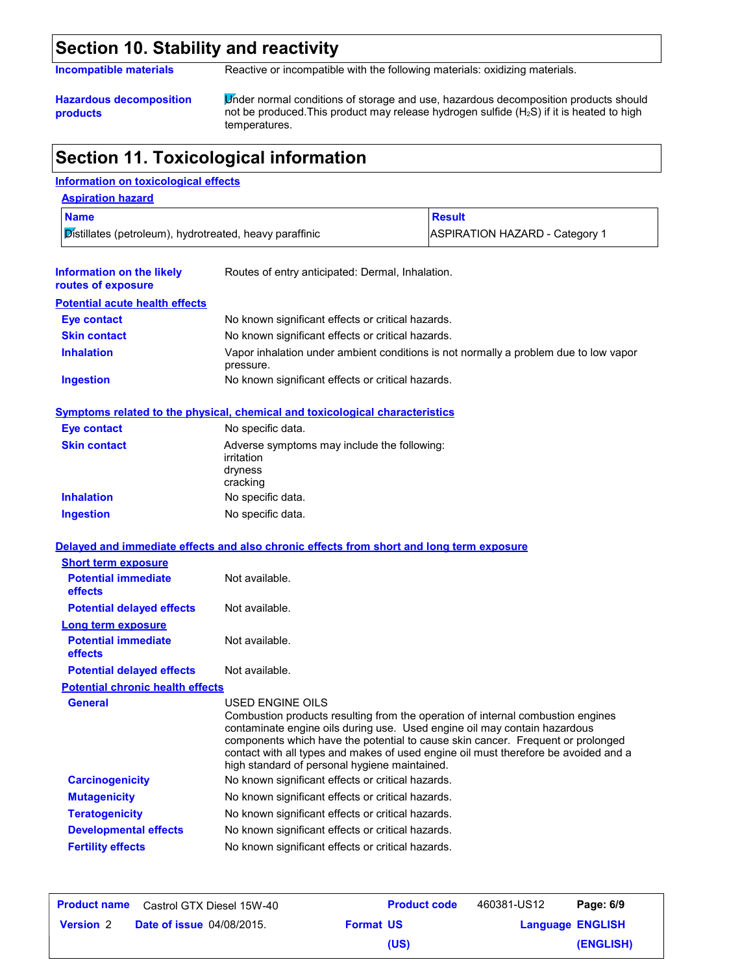### **Section 10. Stability and reactivity**

**Incompatible materials** Reactive or incompatible with the following materials: oxidizing materials.

**Hazardous decomposition products**

Under normal conditions of storage and use, hazardous decomposition products should not be produced. This product may release hydrogen sulfide  $(H_2S)$  if it is heated to high temperatures.

## **Section 11. Toxicological information**

#### **Information on toxicological effects**

| <b>Aspiration hazard</b>                                |                                       |
|---------------------------------------------------------|---------------------------------------|
| <b>Name</b>                                             | <b>Result</b>                         |
| Distillates (petroleum), hydrotreated, heavy paraffinic | <b>ASPIRATION HAZARD - Category 1</b> |

| Information on the likely<br>routes of exposure | Routes of entry anticipated: Dermal, Inhalation.                                                  |
|-------------------------------------------------|---------------------------------------------------------------------------------------------------|
| <b>Potential acute health effects</b>           |                                                                                                   |
| Eye contact                                     | No known significant effects or critical hazards.                                                 |
| <b>Skin contact</b>                             | No known significant effects or critical hazards.                                                 |
| <b>Inhalation</b>                               | Vapor inhalation under ambient conditions is not normally a problem due to low vapor<br>pressure. |
| <b>Ingestion</b>                                | No known significant effects or critical hazards.                                                 |

#### **Symptoms related to the physical, chemical and toxicological characteristics**

| Eye contact         | No specific data.                                                                |
|---------------------|----------------------------------------------------------------------------------|
| <b>Skin contact</b> | Adverse symptoms may include the following:<br>irritation<br>dryness<br>cracking |
| <b>Inhalation</b>   | No specific data.                                                                |
| <b>Ingestion</b>    | No specific data.                                                                |

#### **Delayed and immediate effects and also chronic effects from short and long term exposure**

| <b>Short term exposure</b>                   |                                                                                                                                                                                                                                                                                                                                                                                         |
|----------------------------------------------|-----------------------------------------------------------------------------------------------------------------------------------------------------------------------------------------------------------------------------------------------------------------------------------------------------------------------------------------------------------------------------------------|
| <b>Potential immediate</b><br><b>effects</b> | Not available.                                                                                                                                                                                                                                                                                                                                                                          |
| <b>Potential delayed effects</b>             | Not available.                                                                                                                                                                                                                                                                                                                                                                          |
| <b>Long term exposure</b>                    |                                                                                                                                                                                                                                                                                                                                                                                         |
| <b>Potential immediate</b><br>effects        | Not available.                                                                                                                                                                                                                                                                                                                                                                          |
| <b>Potential delayed effects</b>             | Not available.                                                                                                                                                                                                                                                                                                                                                                          |
| <b>Potential chronic health effects</b>      |                                                                                                                                                                                                                                                                                                                                                                                         |
| <b>General</b>                               | USED ENGINE OILS                                                                                                                                                                                                                                                                                                                                                                        |
|                                              | Combustion products resulting from the operation of internal combustion engines<br>contaminate engine oils during use. Used engine oil may contain hazardous<br>components which have the potential to cause skin cancer. Frequent or prolonged<br>contact with all types and makes of used engine oil must therefore be avoided and a<br>high standard of personal hygiene maintained. |
| <b>Carcinogenicity</b>                       | No known significant effects or critical hazards.                                                                                                                                                                                                                                                                                                                                       |
| <b>Mutagenicity</b>                          | No known significant effects or critical hazards.                                                                                                                                                                                                                                                                                                                                       |
| <b>Teratogenicity</b>                        | No known significant effects or critical hazards.                                                                                                                                                                                                                                                                                                                                       |
| <b>Developmental effects</b>                 | No known significant effects or critical hazards.                                                                                                                                                                                                                                                                                                                                       |
| <b>Fertility effects</b>                     | No known significant effects or critical hazards.                                                                                                                                                                                                                                                                                                                                       |

|                  | <b>Product name</b> Castrol GTX Diesel 15W-40 |                  | <b>Product code</b> | 460381-US12 | Page: 6/9               |
|------------------|-----------------------------------------------|------------------|---------------------|-------------|-------------------------|
| <b>Version 2</b> | <b>Date of issue 04/08/2015.</b>              | <b>Format US</b> |                     |             | <b>Language ENGLISH</b> |
|                  |                                               |                  | (US)                |             | (ENGLISH)               |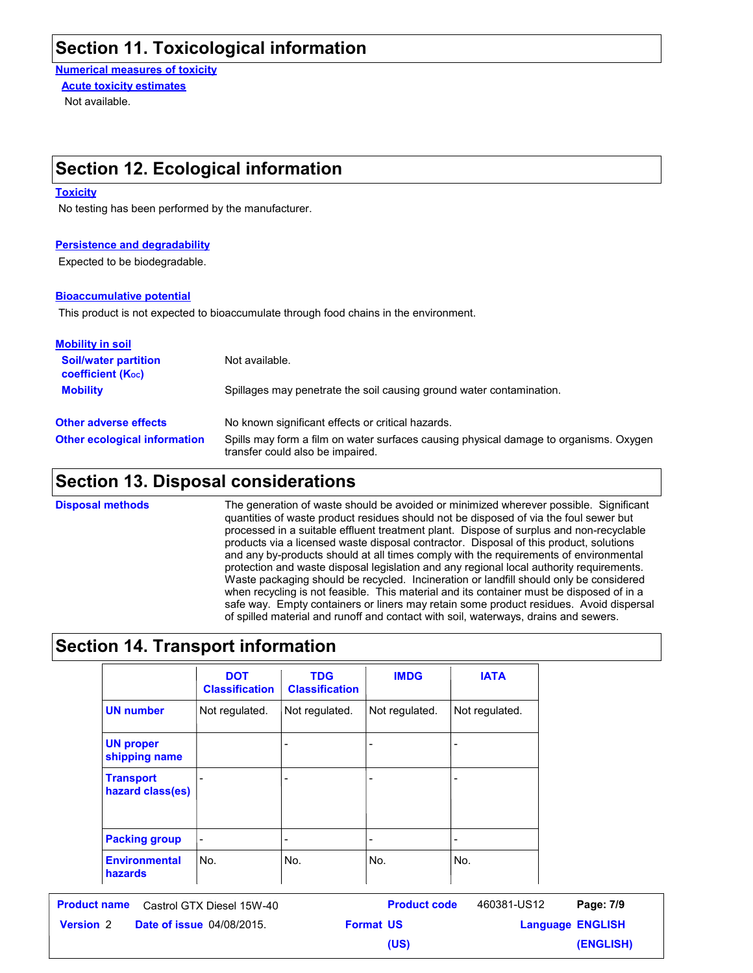### **Section 11. Toxicological information**

**Numerical measures of toxicity** Not available. **Acute toxicity estimates**

## **Section 12. Ecological information**

#### **Toxicity**

No testing has been performed by the manufacturer.

#### **Persistence and degradability**

Expected to be biodegradable.

#### **Bioaccumulative potential**

This product is not expected to bioaccumulate through food chains in the environment.

| <b>Mobility in soil</b>                                 |                                                                                                                           |
|---------------------------------------------------------|---------------------------------------------------------------------------------------------------------------------------|
| <b>Soil/water partition</b><br><b>coefficient (Koc)</b> | Not available.                                                                                                            |
| <b>Mobility</b>                                         | Spillages may penetrate the soil causing ground water contamination.                                                      |
| <b>Other adverse effects</b>                            | No known significant effects or critical hazards.                                                                         |
| <b>Other ecological information</b>                     | Spills may form a film on water surfaces causing physical damage to organisms. Oxygen<br>transfer could also be impaired. |

### **Section 13. Disposal considerations**

The generation of waste should be avoided or minimized wherever possible. Significant quantities of waste product residues should not be disposed of via the foul sewer but processed in a suitable effluent treatment plant. Dispose of surplus and non-recyclable products via a licensed waste disposal contractor. Disposal of this product, solutions and any by-products should at all times comply with the requirements of environmental protection and waste disposal legislation and any regional local authority requirements. Waste packaging should be recycled. Incineration or landfill should only be considered when recycling is not feasible. This material and its container must be disposed of in a safe way. Empty containers or liners may retain some product residues. Avoid dispersal of spilled material and runoff and contact with soil, waterways, drains and sewers. **Disposal methods**

### **Section 14. Transport information**

|                                      | <b>DOT</b><br><b>Classification</b> | <b>TDG</b><br><b>Classification</b> | <b>IMDG</b>    | <b>IATA</b>    |
|--------------------------------------|-------------------------------------|-------------------------------------|----------------|----------------|
| <b>UN number</b>                     | Not regulated.                      | Not regulated.                      | Not regulated. | Not regulated. |
| <b>UN proper</b><br>shipping name    |                                     |                                     |                |                |
| <b>Transport</b><br>hazard class(es) | ۰                                   |                                     |                |                |
| <b>Packing group</b>                 | $\overline{\phantom{a}}$            |                                     | -              | -              |
| <b>Environmental</b><br>hazards      | No.                                 | No.                                 | No.            | No.            |

**(US)**

**Date of issue** 04/08/2015. **Version** 2 **Format US Language Product name** Castrol GTX Diesel 15W-40 **Product code** 460381-US12 **Page: 7/9** 

**Language ENGLISH (ENGLISH)** 460381-US12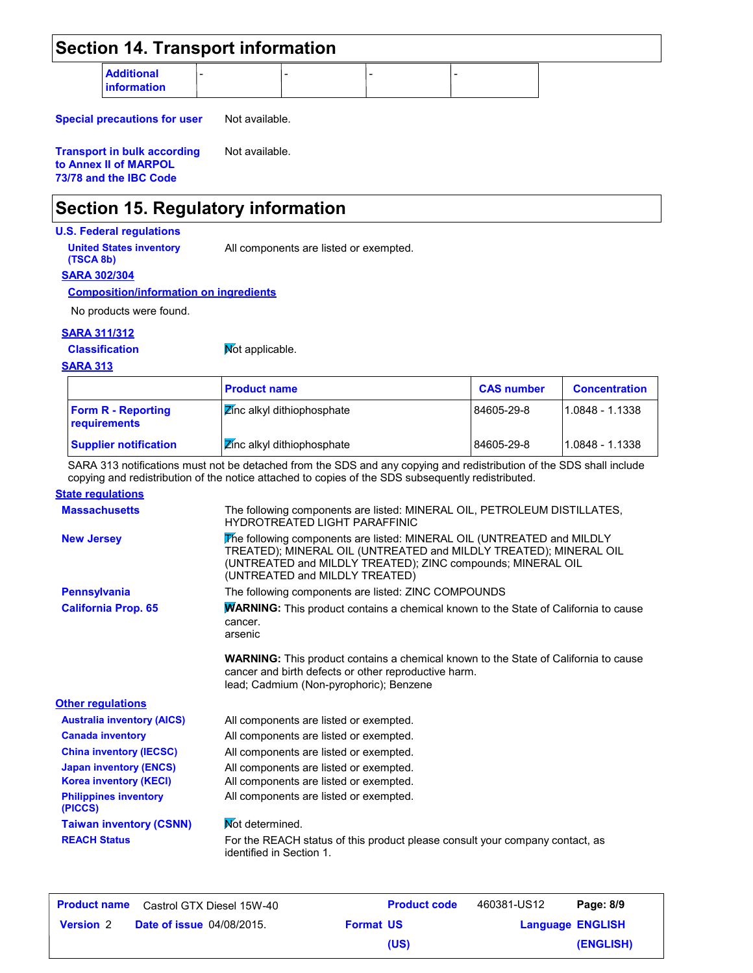|                                                                                                         |                                                                                                                                                                                                                                                                                      |                   | <b>Section 14. Transport information</b> |  |  |  |  |
|---------------------------------------------------------------------------------------------------------|--------------------------------------------------------------------------------------------------------------------------------------------------------------------------------------------------------------------------------------------------------------------------------------|-------------------|------------------------------------------|--|--|--|--|
| <b>Additional</b><br><b>information</b>                                                                 |                                                                                                                                                                                                                                                                                      |                   |                                          |  |  |  |  |
|                                                                                                         |                                                                                                                                                                                                                                                                                      |                   |                                          |  |  |  |  |
| <b>Special precautions for user</b>                                                                     | Not available.                                                                                                                                                                                                                                                                       |                   |                                          |  |  |  |  |
| Not available.<br><b>Transport in bulk according</b><br>to Annex II of MARPOL<br>73/78 and the IBC Code |                                                                                                                                                                                                                                                                                      |                   |                                          |  |  |  |  |
| <b>Section 15. Regulatory information</b>                                                               |                                                                                                                                                                                                                                                                                      |                   |                                          |  |  |  |  |
| <b>U.S. Federal regulations</b>                                                                         |                                                                                                                                                                                                                                                                                      |                   |                                          |  |  |  |  |
| <b>United States inventory</b><br>(TSCA 8b)                                                             | All components are listed or exempted.                                                                                                                                                                                                                                               |                   |                                          |  |  |  |  |
| <b>SARA 302/304</b>                                                                                     |                                                                                                                                                                                                                                                                                      |                   |                                          |  |  |  |  |
| <b>Composition/information on ingredients</b>                                                           |                                                                                                                                                                                                                                                                                      |                   |                                          |  |  |  |  |
| No products were found.                                                                                 |                                                                                                                                                                                                                                                                                      |                   |                                          |  |  |  |  |
| <b>SARA 311/312</b>                                                                                     |                                                                                                                                                                                                                                                                                      |                   |                                          |  |  |  |  |
| <b>Classification</b>                                                                                   | Mot applicable.                                                                                                                                                                                                                                                                      |                   |                                          |  |  |  |  |
| <b>SARA 313</b>                                                                                         |                                                                                                                                                                                                                                                                                      |                   |                                          |  |  |  |  |
|                                                                                                         | <b>Product name</b>                                                                                                                                                                                                                                                                  | <b>CAS number</b> | <b>Concentration</b>                     |  |  |  |  |
| <b>Form R - Reporting</b><br>requirements                                                               | Zinc alkyl dithiophosphate                                                                                                                                                                                                                                                           | 84605-29-8        | 1.0848 - 1.1338                          |  |  |  |  |
| <b>Supplier notification</b>                                                                            | Zinc alkyl dithiophosphate                                                                                                                                                                                                                                                           | 84605-29-8        | 1.0848 - 1.1338                          |  |  |  |  |
| <b>State regulations</b>                                                                                | SARA 313 notifications must not be detached from the SDS and any copying and redistribution of the SDS shall include<br>copying and redistribution of the notice attached to copies of the SDS subsequently redistributed.                                                           |                   |                                          |  |  |  |  |
| <b>Massachusetts</b>                                                                                    | The following components are listed: MINERAL OIL, PETROLEUM DISTILLATES,                                                                                                                                                                                                             |                   |                                          |  |  |  |  |
| <b>New Jersey</b>                                                                                       | <b>HYDROTREATED LIGHT PARAFFINIC</b><br>The following components are listed: MINERAL OIL (UNTREATED and MILDLY<br>TREATED); MINERAL OIL (UNTREATED and MILDLY TREATED); MINERAL OIL<br>(UNTREATED and MILDLY TREATED); ZINC compounds; MINERAL OIL<br>(UNTREATED and MILDLY TREATED) |                   |                                          |  |  |  |  |
| <b>Pennsylvania</b>                                                                                     | The following components are listed: ZINC COMPOUNDS                                                                                                                                                                                                                                  |                   |                                          |  |  |  |  |
| <b>California Prop. 65</b>                                                                              | <b>WARNING:</b> This product contains a chemical known to the State of California to cause<br>cancer.<br>arsenic                                                                                                                                                                     |                   |                                          |  |  |  |  |
|                                                                                                         | <b>WARNING:</b> This product contains a chemical known to the State of California to cause<br>cancer and birth defects or other reproductive harm.<br>lead; Cadmium (Non-pyrophoric); Benzene                                                                                        |                   |                                          |  |  |  |  |
|                                                                                                         |                                                                                                                                                                                                                                                                                      |                   |                                          |  |  |  |  |
| <b>Australia inventory (AICS)</b>                                                                       | All components are listed or exempted.                                                                                                                                                                                                                                               |                   |                                          |  |  |  |  |
| <b>Canada inventory</b>                                                                                 | All components are listed or exempted.                                                                                                                                                                                                                                               |                   |                                          |  |  |  |  |
| <b>China inventory (IECSC)</b>                                                                          | All components are listed or exempted.                                                                                                                                                                                                                                               |                   |                                          |  |  |  |  |
| <b>Japan inventory (ENCS)</b>                                                                           | All components are listed or exempted.                                                                                                                                                                                                                                               |                   |                                          |  |  |  |  |
| <b>Other regulations</b><br><b>Korea inventory (KECI)</b><br><b>Philippines inventory</b><br>(PICCS)    | All components are listed or exempted.<br>All components are listed or exempted.                                                                                                                                                                                                     |                   |                                          |  |  |  |  |
| <b>Taiwan inventory (CSNN)</b>                                                                          | Not determined.                                                                                                                                                                                                                                                                      |                   |                                          |  |  |  |  |

| <b>Product name</b> | Castrol GTX Diesel 15W-40        |                  | <b>Product code</b> | 460381-US12 | Page: 8/9               |
|---------------------|----------------------------------|------------------|---------------------|-------------|-------------------------|
| <b>Version 2</b>    | <b>Date of issue 04/08/2015.</b> | <b>Format US</b> |                     |             | <b>Language ENGLISH</b> |
|                     |                                  |                  | (US)                |             | (ENGLISH)               |